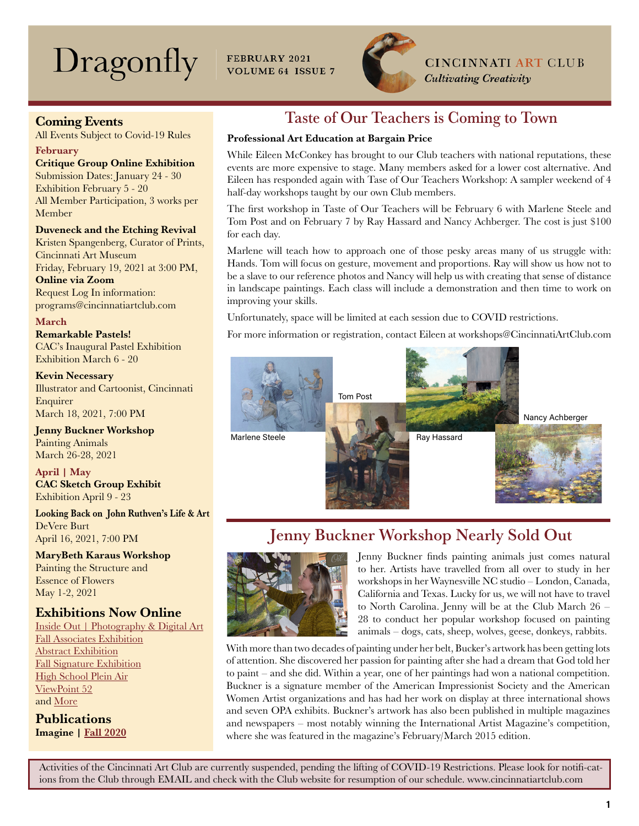# Dragonfly

FEBRUARY 2021 **VOLUME 64 ISSUE 7** 



**CINCINNATI ART CLUB** 

**Cultivating Creativity** 

## Coming Events

All Events Subject to Covid-19 Rules

#### February

Critique Group Online Exhibition

Submission Dates: January 24 - 30 Exhibition February 5 - 20 All Member Participation, 3 works per Member

### Duveneck and the Etching Revival

Kristen Spangenberg, Curator of Prints, Cincinnati Art Museum Friday, February 19, 2021 at 3:00 PM, Online via Zoom Request Log In information:

programs@cincinnatiartclub.com

March Remarkable Pastels! CAC's Inaugural Pastel Exhibition Exhibition March 6 - 20

Kevin Necessary Illustrator and Cartoonist, Cincinnati Enquirer March 18, 2021, 7:00 PM

Jenny Buckner Workshop Painting Animals March 26-28, 2021

April | May CAC Sketch Group Exhibit Exhibition April 9 - 23

Looking Back on John Ruthven's Life & Art DeVere Burt April 16, 2021, 7:00 PM

MaryBeth Karaus Workshop Painting the Structure and Essence of Flowers May 1-2, 2021

## Exhibitions Now Online

Inside Out | Photography & Digital Art [Fall Associates Exhibition](https://cincinnatiartclub.org/cac-fall-2020-associate-show/) [Abstract Exhibition](https://cincinnatiartclub.org/2020-abstract-exhibition/) [Fall Signature Exhibition](https://cincinnatiartclub.org/signature-member-exhibition-fall-2020/) [High School Plein Air](https://cincinnatiartclub.org/cac-high-school-plein-air-2020/) [ViewPoint 52](https://cincinnatiartclub.org/viewpoint-52-gallery/) and [More](http://www.cincinnatiartclub.com/index.html)

**Publications** Imagine | [Fall 2020](https://cincinnatiartclub.org/wp-content/uploads/2020/11/001_Imagine_Fall-2020.pdf)

## Taste of Our Teachers is Coming to Town

## Professional Art Education at Bargain Price

While Eileen McConkey has brought to our Club teachers with national reputations, these events are more expensive to stage. Many members asked for a lower cost alternative. And Eileen has responded again with Tase of Our Teachers Workshop: A sampler weekend of 4 half-day workshops taught by our own Club members.

The first workshop in Taste of Our Teachers will be February 6 with Marlene Steele and Tom Post and on February 7 by Ray Hassard and Nancy Achberger. The cost is just \$100 for each day.

Marlene will teach how to approach one of those pesky areas many of us struggle with: Hands. Tom will focus on gesture, movement and proportions. Ray will show us how not to be a slave to our reference photos and Nancy will help us with creating that sense of distance in landscape paintings. Each class will include a demonstration and then time to work on improving your skills.

Unfortunately, space will be limited at each session due to COVID restrictions.

For more information or registration, contact Eileen at workshops@CincinnatiArtClub.com



## Jenny Buckner Workshop Nearly Sold Out



Jenny Buckner finds painting animals just comes natural to her. Artists have travelled from all over to study in her workshops in her Waynesville NC studio – London, Canada, California and Texas. Lucky for us, we will not have to travel to North Carolina. Jenny will be at the Club March 26 – 28 to conduct her popular workshop focused on painting animals – dogs, cats, sheep, wolves, geese, donkeys, rabbits.

With more than two decades of painting under her belt, Bucker's artwork has been getting lots of attention. She discovered her passion for painting after she had a dream that God told her to paint – and she did. Within a year, one of her paintings had won a national competition. Buckner is a signature member of the American Impressionist Society and the American Women Artist organizations and has had her work on display at three international shows and seven OPA exhibits. Buckner's artwork has also been published in multiple magazines and newspapers – most notably winning the International Artist Magazine's competition, where she was featured in the magazine's February/March 2015 edition.

Activities of the Cincinnati Art Club are currently suspended, pending the lifting of COVID-19 Restrictions. Please look for notifi-cations from the Club through EMAIL and check with the Club website for resumption of our schedule. www.cincinnatiartclub.com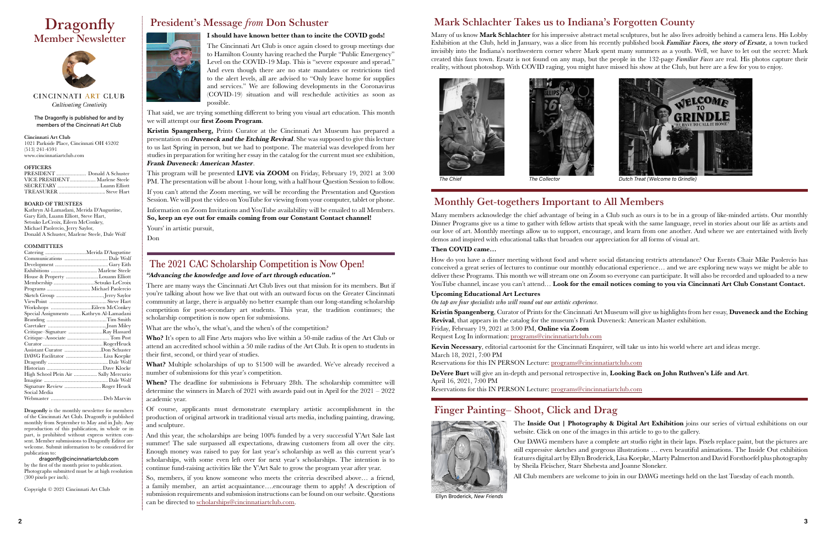The Dragonfly is published for and by members of the Cincinnati Art Club

#### Cincinnati Art Club

1021 Parkside Place, Cincinnati OH 45202 (513) 241-4591 www.cincinnatiartclub.com

## **OFFICERS**<br>PRESIDENT

Donald A Schuster VICE PRESIDENT.................... Marlene Steele<br>SECRETARY .................................Luann Elliott SECRETARY TREASURER .................................. Steve Hart

#### BOARD OF TRUSTEES

Kathryn Al-Lamadani, Merida D'Augustine, Gary Eith, Luann Elliott, Steve Hart, Setsuko LeCroix, Eileen McConkey, Michael Paolercio, Jerry Saylor, Donald A Schuster, Marlene Steele, Dale Wolf

#### **COMMITTEES**

## **Dragonfly** Member Newsletter



CINCINNATI ART CLUB Cultivating Creativity

| House & Property Louann Elliott          |  |
|------------------------------------------|--|
| Membership Setsuko LeCroix               |  |
| Programs  Michael Paolercio              |  |
|                                          |  |
|                                          |  |
|                                          |  |
| Special Assignments  Kathryn Al-Lamadani |  |
|                                          |  |
|                                          |  |
| Critique–Signature Ray Hassard           |  |
| Critique-Associate Tom Post              |  |
|                                          |  |
| Assistant Curator Don Schuster           |  |
| DAWG Facilitator  Lisa Koepke            |  |
|                                          |  |
|                                          |  |
| High School Plein Air  Sally Mercurio    |  |
|                                          |  |
| Signature Review  Roger Heuck            |  |
| Social Media                             |  |
|                                          |  |

Dragonfly is the monthly newsletter for members of the Cincinnati Art Club. Dragonfly is published monthly from September to May and in July. Any reproduction of this publication, in whole or in part, is prohibited without express written consent. Member submissions to Dragonfly Editor are welcome. Submit information to be considered for publication to:

dragonfly@cincinnatiartclub.com by the first of the month prior to publication. Photographs submitted must be at high resolution (300 pixels per inch).

Who? It's open to all Fine Arts majors who live within a 50-mile radius of the Art Club or attend an accredited school within a 50 mile radius of the Art Club. It is open to students in their first, second, or third year of studies.

Copyright © 2021 Cincinnati Art Club

## President's Message *from* Don Schuster I should have known better than to incite the COVID gods!



The Cincinnati Art Club is once again closed to group meetings due to Hamilton County having reached the Purple "Public Emergency" Level on the COVID-19 Map. This is "severe exposure and spread." And even though there are no state mandates or restrictions tied to the alert levels, all are advised to "Only leave home for supplies and services." We are following developments in the Coronavirus (COVID-19) situation and will reschedule activities as soon as possible.

That said, we are trying something different to bring you visual art education. This month we will attempt our first Zoom Program.

Many of us know Mark Schlachter for his impressive abstract metal sculptures, but he also lives adroitly behind a camera lens. His Lobby Exhibition at the Club, held in January, was a slice from his recently published book Familiar Faces, the story of Ersatz*,* a town tucked invisibly into the Indiana's northwestern corner where Mark spent many summers as a youth. Well, we have to let out the secret: Mark created this faux town. Ersatz is not found on any map, but the people in the 132-page *Familiar Faces* are real. His photos capture their reality, without photoshop. With COVID raging, you might have missed his show at the Club, but here are a few for you to enjoy.

Kristin Spangenberg, Prints Curator at the Cincinnati Art Museum has prepared a presentation on **Duveneck and the Etching Revival**. She was supposed to give this lecture to us last Spring in person, but we had to postpone. The material was developed from her studies in preparation for writing her essay in the catalog for the current must see exhibition, Frank Duveneck: American Master.

> How do you have a dinner meeting without food and where social distancing restricts attendance? Our Events Chair Mike Paolercio has conceived a great series of lectures to continue our monthly educational experience… and we are exploring new ways we might be able to deliver these Programs. This month we will stream one on Zoom so everyone can participate. It will also be recorded and uploaded to a new YouTube channel, incase you can't attend... Look for the email notices coming to you via Cincinnati Art Club Constant Contact.

This program will be presented LIVE via ZOOM on Friday, February 19, 2021 at 3:00 PM. The presentation will be about 1-hour long, with a half hour Question Session to follow.

If you can't attend the Zoom meeting, we will be recording the Presentation and Question Session. We will post the video on YouTube for viewing from your computer, tablet or phone. Information on Zoom Invitations and YouTube availability will be emailed to all Members. So, keep an eye out for emails coming from our Constant Contact channel! Yours' in artistic pursuit,

> Kristin Spangenberg, Curator of Prints for the Cincinnati Art Museum will give us highlights from her essay, Duveneck and the Etching Revival, that appears in the catalog for the museum's Frank Duveneck: American Master exhibition. Friday, February 19, 2021 at 3:00 PM, Online via Zoom

Don

## The 2021 CAC Scholarship Competition is Now Open!

## "Advancing the knowledge and love of art through education."

There are many ways the Cincinnati Art Club lives out that mission for its members. But if you're talking about how we live that out with an outward focus on the Greater Cincinnati community at large, there is arguably no better example than our long-standing scholarship competition for post-secondary art students. This year, the tradition continues; the scholarship competition is now open for submissions.

What are the who's, the what's, and the when's of the competition?

The Inside Out | Photography & Digital Art Exhibition joins our series of virtual exhibitions on our website. Click on one of the images in this article to go to the gallery.

What? Multiple scholarships of up to \$1500 will be awarded. We've already received a number of submissions for this year's competition.

When? The deadline for submissions is February 28th. The scholarship committee will determine the winners in March of 2021 with awards paid out in April for the 2021 – 2022 academic year.

Of course, applicants must demonstrate exemplary artistic accomplishment in the production of original artwork in traditional visual arts media, including painting, drawing, and sculpture.

And this year, the scholarships are being 100% funded by a very successful Y'Art Sale last summer! The sale surpassed all expectations, drawing customers from all over the city. Enough money was raised to pay for last year's scholarship as well as this current year's scholarships, with some even left over for next year's scholarships. The intention is to continue fund-raising activities like the Y'Art Sale to grow the program year after year.

So, members, if you know someone who meets the criteria described above… a friend, a family member, an artist acquaintance….encourage them to apply! A description of submission requirements and submission instructions can be found on our website. Questions can be directed to [scholarships@cincinnatiartclub.com](mailto:scholarships%40cincinnatiartclub.com?subject=2021%20CAC%20Scholarship%20Competition).



Monthly Get-togethers Important to All Members

Many members acknowledge the chief advantage of being in a Club such as ours is to be in a group of like-minded artists. Our monthly Dinner Programs give us a time to gather with fellow artists that speak with the same language, revel in stories about our life as artists and our love of art. Monthly meetings allow us to support, encourage, and learn from one another. And where we are entertained with lively demos and inspired with educational talks that broaden our appreciation for all forms of visual art.

### Then COVID came…

#### Upcoming Educational Art Lectures

*On tap are four specialists who will round out our artistic experience.*

Request Log In information: [programs@cincinnatiartclub.com](mailto:programs%40cincinnatiartclub.com?subject=Kristin%20Spangenberg%20Program)

Kevin Necessary, editorial cartoonist for the Cincinnati Enquirer, will take us into his world where art and ideas merge. March 18, 2021, 7:00 PM

Reservations for this IN PERSON Lecture: [programs@cincinnatiartclub.com](mailto:programs%40cincinnatiartclub.com?subject=Kevin%20Necessary%20Program)

DeVere Burt will give an in-depth and personal retrospective in, Looking Back on John Ruthven's Life and Art. April 16, 2021, 7:00 PM

Reservations for this IN PERSON Lecture: [programs@cincinnatiartclub.com](mailto:programs%40cincinnatiartclub.com?subject=DeVere%20Burt%20Program)

## Mark Schlachter Takes us to Indiana's Forgotten County



*The Chief The Collector Dutch Treat (Welcome to Grindle)*

## Finger Painting– Shoot, Click and Drag



Our DAWG members have a complete art studio right in their laps. Pixels replace paint, but the pictures are still expressive sketches and gorgeous illustrations … even beautiful animations. The Inside Out exhibition features digital art by Ellyn Broderick, Lisa Koepke, Marty Palmerton and David Forsthoefel plus photography

by Sheila Fleischer, Starr Shebesta and Joanne Sloneker.

All Club members are welcome to join in our DAWG meetings held on the last Tuesday of each month.

[Ellyn Broderick,](https://cincinnatiartclub.org/inside-out-photography-and-digital-exhibition-2021/) *New Friends*